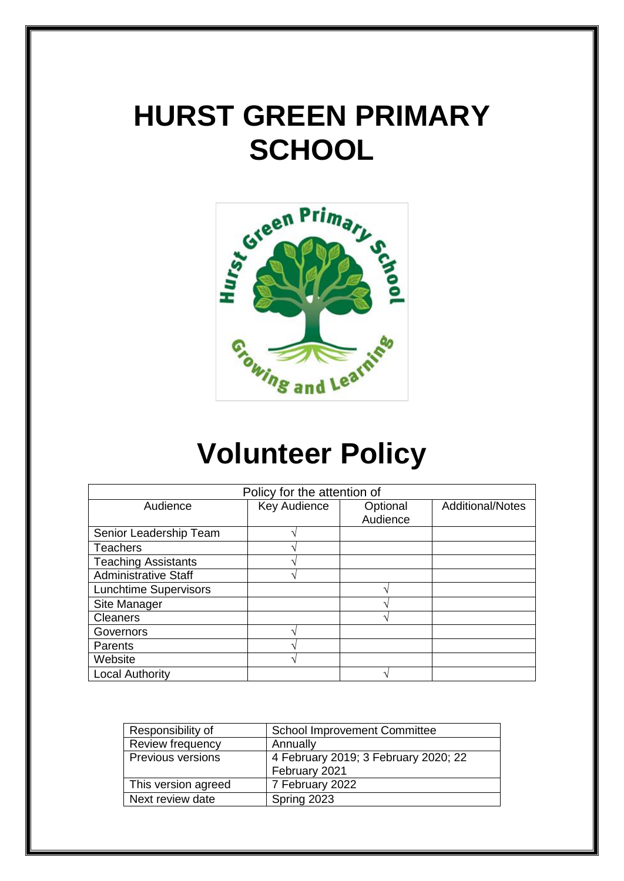# **HURST GREEN PRIMARY SCHOOL**



# **Volunteer Policy**

| Policy for the attention of  |              |          |                         |
|------------------------------|--------------|----------|-------------------------|
| Audience                     | Key Audience | Optional | <b>Additional/Notes</b> |
|                              |              | Audience |                         |
| Senior Leadership Team       |              |          |                         |
| <b>Teachers</b>              |              |          |                         |
| <b>Teaching Assistants</b>   |              |          |                         |
| <b>Administrative Staff</b>  |              |          |                         |
| <b>Lunchtime Supervisors</b> |              |          |                         |
| Site Manager                 |              |          |                         |
| <b>Cleaners</b>              |              |          |                         |
| Governors                    |              |          |                         |
| Parents                      |              |          |                         |
| Website                      |              |          |                         |
| <b>Local Authority</b>       |              |          |                         |

| Responsibility of        | <b>School Improvement Committee</b>  |
|--------------------------|--------------------------------------|
| <b>Review frequency</b>  | Annually                             |
| <b>Previous versions</b> | 4 February 2019; 3 February 2020; 22 |
|                          | February 2021                        |
| This version agreed      | 7 February 2022                      |
| Next review date         | Spring 2023                          |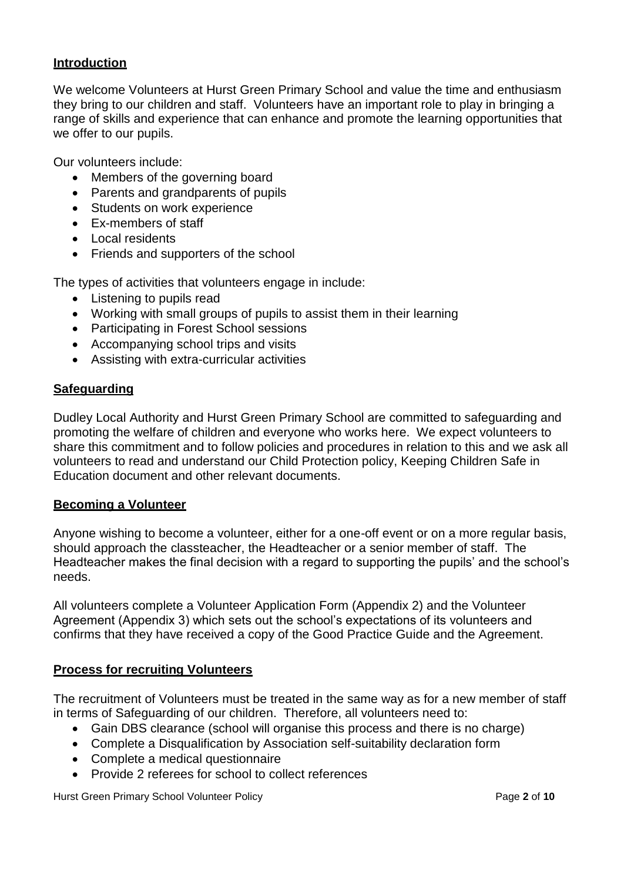#### **Introduction**

We welcome Volunteers at Hurst Green Primary School and value the time and enthusiasm they bring to our children and staff. Volunteers have an important role to play in bringing a range of skills and experience that can enhance and promote the learning opportunities that we offer to our pupils.

Our volunteers include:

- Members of the governing board
- Parents and grandparents of pupils
- Students on work experience
- Ex-members of staff
- Local residents
- Friends and supporters of the school

The types of activities that volunteers engage in include:

- Listening to pupils read
- Working with small groups of pupils to assist them in their learning
- Participating in Forest School sessions
- Accompanying school trips and visits
- Assisting with extra-curricular activities

#### **Safeguarding**

Dudley Local Authority and Hurst Green Primary School are committed to safeguarding and promoting the welfare of children and everyone who works here. We expect volunteers to share this commitment and to follow policies and procedures in relation to this and we ask all volunteers to read and understand our Child Protection policy, Keeping Children Safe in Education document and other relevant documents.

#### **Becoming a Volunteer**

Anyone wishing to become a volunteer, either for a one-off event or on a more regular basis, should approach the classteacher, the Headteacher or a senior member of staff. The Headteacher makes the final decision with a regard to supporting the pupils' and the school's needs.

All volunteers complete a Volunteer Application Form (Appendix 2) and the Volunteer Agreement (Appendix 3) which sets out the school's expectations of its volunteers and confirms that they have received a copy of the Good Practice Guide and the Agreement.

#### **Process for recruiting Volunteers**

The recruitment of Volunteers must be treated in the same way as for a new member of staff in terms of Safeguarding of our children. Therefore, all volunteers need to:

- Gain DBS clearance (school will organise this process and there is no charge)
- Complete a Disqualification by Association self-suitability declaration form
- Complete a medical questionnaire
- Provide 2 referees for school to collect references

Hurst Green Primary School Volunteer Policy Page **2** of **10**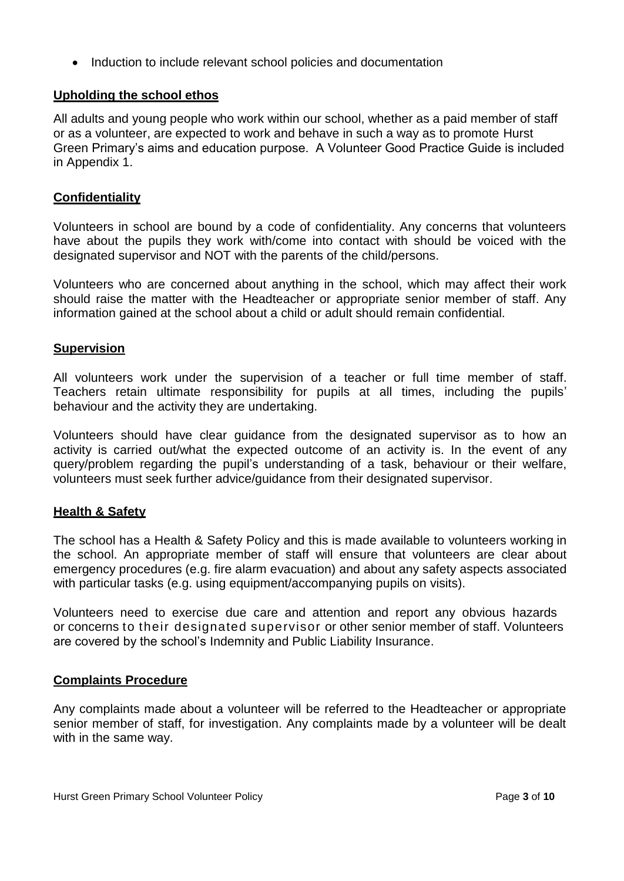• Induction to include relevant school policies and documentation

### **Upholding the school ethos**

All adults and young people who work within our school, whether as a paid member of staff or as a volunteer, are expected to work and behave in such a way as to promote Hurst Green Primary's aims and education purpose. A Volunteer Good Practice Guide is included in Appendix 1.

#### **Confidentiality**

Volunteers in school are bound by a code of confidentiality. Any concerns that volunteers have about the pupils they work with/come into contact with should be voiced with the designated supervisor and NOT with the parents of the child/persons.

Volunteers who are concerned about anything in the school, which may affect their work should raise the matter with the Headteacher or appropriate senior member of staff. Any information gained at the school about a child or adult should remain confidential.

#### **Supervision**

All volunteers work under the supervision of a teacher or full time member of staff. Teachers retain ultimate responsibility for pupils at all times, including the pupils' behaviour and the activity they are undertaking.

Volunteers should have clear guidance from the designated supervisor as to how an activity is carried out/what the expected outcome of an activity is. In the event of any query/problem regarding the pupil's understanding of a task, behaviour or their welfare, volunteers must seek further advice/guidance from their designated supervisor.

#### **Health & Safety**

The school has a Health & Safety Policy and this is made available to volunteers working in the school. An appropriate member of staff will ensure that volunteers are clear about emergency procedures (e.g. fire alarm evacuation) and about any safety aspects associated with particular tasks (e.g. using equipment/accompanying pupils on visits).

Volunteers need to exercise due care and attention and report any obvious hazards or concerns to their designated supervisor or other senior member of staff. Volunteers are covered by the school's Indemnity and Public Liability Insurance.

#### **Complaints Procedure**

Any complaints made about a volunteer will be referred to the Headteacher or appropriate senior member of staff, for investigation. Any complaints made by a volunteer will be dealt with in the same way.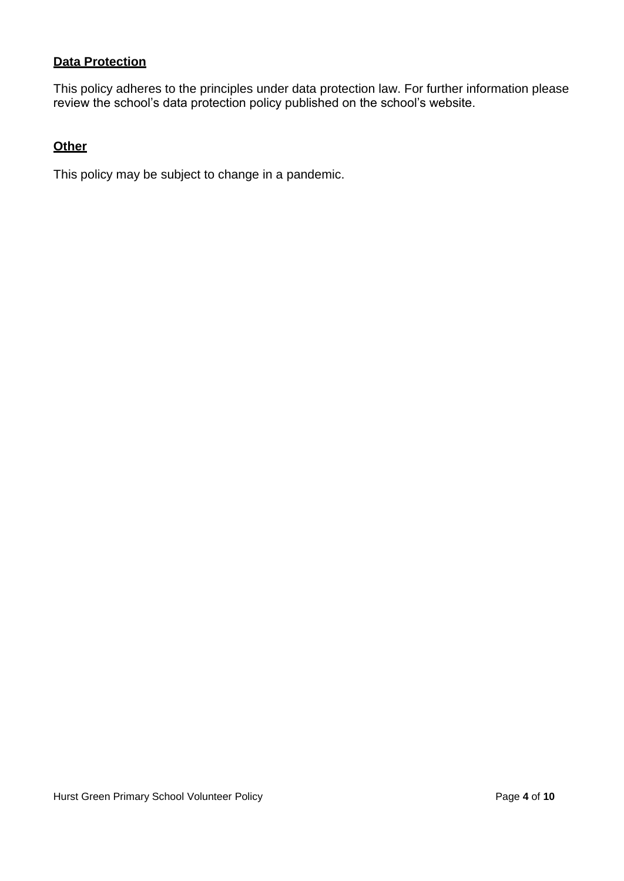#### **Data Protection**

This policy adheres to the principles under data protection law. For further information please review the school's data protection policy published on the school's website.

#### **Other**

This policy may be subject to change in a pandemic.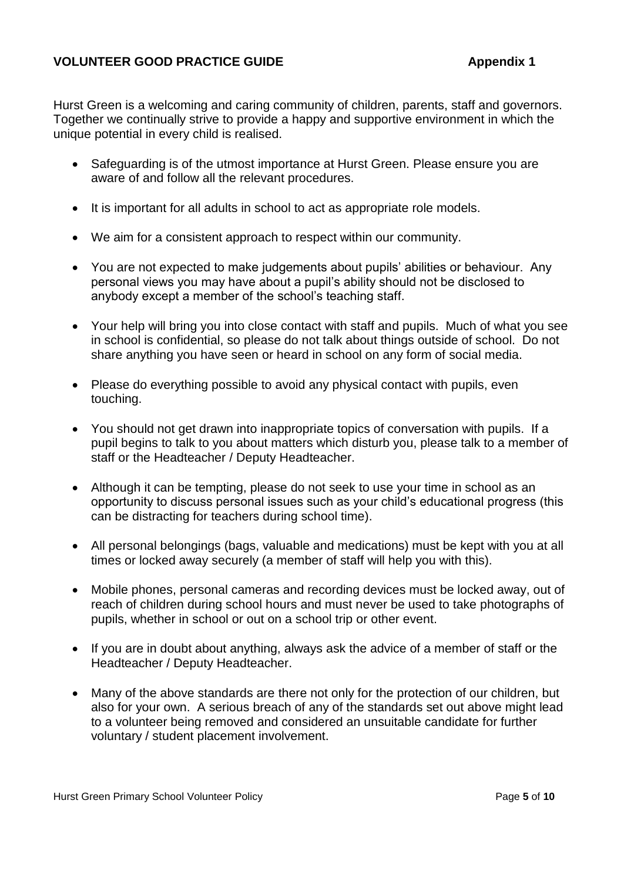#### **VOLUNTEER GOOD PRACTICE GUIDE Appendix 1**

Hurst Green is a welcoming and caring community of children, parents, staff and governors. Together we continually strive to provide a happy and supportive environment in which the unique potential in every child is realised.

- Safeguarding is of the utmost importance at Hurst Green. Please ensure you are aware of and follow all the relevant procedures.
- It is important for all adults in school to act as appropriate role models.
- We aim for a consistent approach to respect within our community.
- You are not expected to make judgements about pupils' abilities or behaviour. Any personal views you may have about a pupil's ability should not be disclosed to anybody except a member of the school's teaching staff.
- Your help will bring you into close contact with staff and pupils. Much of what you see in school is confidential, so please do not talk about things outside of school. Do not share anything you have seen or heard in school on any form of social media.
- Please do everything possible to avoid any physical contact with pupils, even touching.
- You should not get drawn into inappropriate topics of conversation with pupils. If a pupil begins to talk to you about matters which disturb you, please talk to a member of staff or the Headteacher / Deputy Headteacher.
- Although it can be tempting, please do not seek to use your time in school as an opportunity to discuss personal issues such as your child's educational progress (this can be distracting for teachers during school time).
- All personal belongings (bags, valuable and medications) must be kept with you at all times or locked away securely (a member of staff will help you with this).
- Mobile phones, personal cameras and recording devices must be locked away, out of reach of children during school hours and must never be used to take photographs of pupils, whether in school or out on a school trip or other event.
- If you are in doubt about anything, always ask the advice of a member of staff or the Headteacher / Deputy Headteacher.
- Many of the above standards are there not only for the protection of our children, but also for your own. A serious breach of any of the standards set out above might lead to a volunteer being removed and considered an unsuitable candidate for further voluntary / student placement involvement.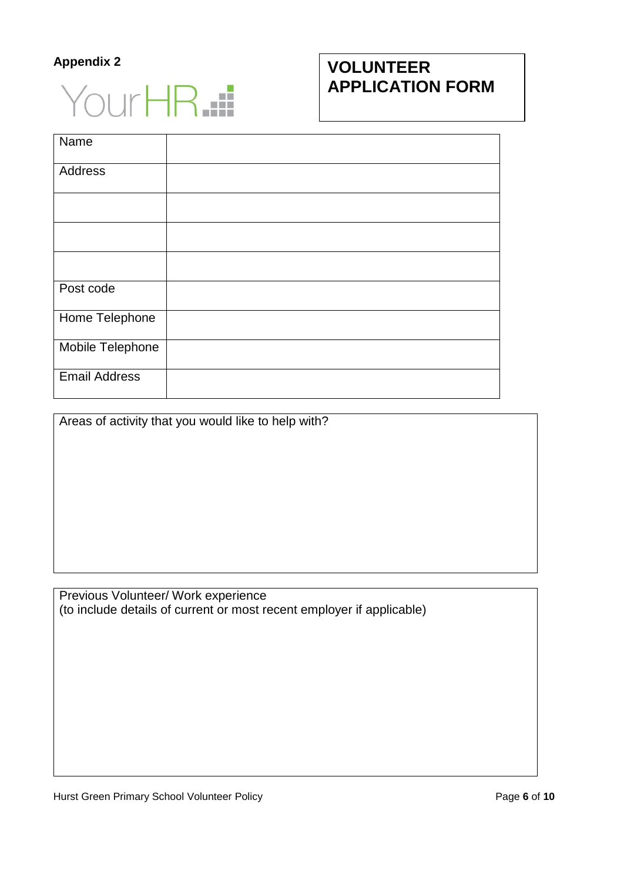### **Appendix 2**



## **VOLUNTEER APPLICATION FORM**

| Name                 |  |
|----------------------|--|
| Address              |  |
|                      |  |
|                      |  |
|                      |  |
| Post code            |  |
| Home Telephone       |  |
| Mobile Telephone     |  |
| <b>Email Address</b> |  |

Areas of activity that you would like to help with?

Previous Volunteer/ Work experience (to include details of current or most recent employer if applicable)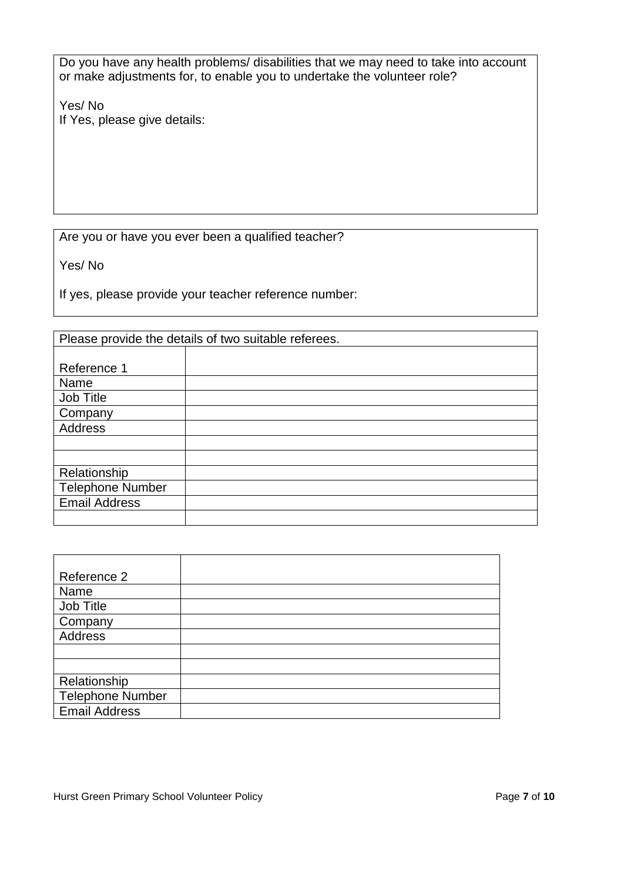Do you have any health problems/ disabilities that we may need to take into account or make adjustments for, to enable you to undertake the volunteer role?

Yes/ No If Yes, please give details:

Are you or have you ever been a qualified teacher?

Yes/ No

If yes, please provide your teacher reference number:

|                         | Please provide the details of two suitable referees. |
|-------------------------|------------------------------------------------------|
|                         |                                                      |
| Reference 1             |                                                      |
| Name                    |                                                      |
| Job Title               |                                                      |
| Company                 |                                                      |
| <b>Address</b>          |                                                      |
|                         |                                                      |
|                         |                                                      |
| Relationship            |                                                      |
| <b>Telephone Number</b> |                                                      |
| <b>Email Address</b>    |                                                      |
|                         |                                                      |

| Reference 2             |  |
|-------------------------|--|
| Name                    |  |
| Job Title               |  |
| Company                 |  |
| Address                 |  |
|                         |  |
|                         |  |
| Relationship            |  |
| <b>Telephone Number</b> |  |
| <b>Email Address</b>    |  |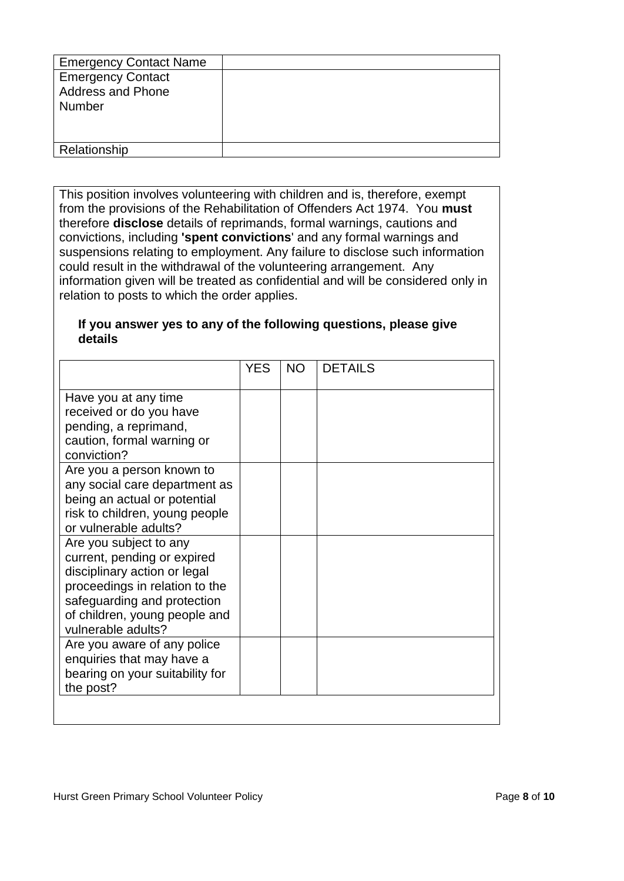| <b>Emergency Contact Name</b>                                         |  |
|-----------------------------------------------------------------------|--|
| <b>Emergency Contact</b><br><b>Address and Phone</b><br><b>Number</b> |  |
| Relationship                                                          |  |

This position involves volunteering with children and is, therefore, exempt from the provisions of the Rehabilitation of Offenders Act 1974. You **must** therefore **disclose** details of reprimands, formal warnings, cautions and convictions, including **'spent convictions**' and any formal warnings and suspensions relating to employment. Any failure to disclose such information could result in the withdrawal of the volunteering arrangement. Any information given will be treated as confidential and will be considered only in relation to posts to which the order applies.

#### **If you answer yes to any of the following questions, please give details**

| Have you at any time<br>received or do you have<br>pending, a reprimand,<br>caution, formal warning or<br>conviction?<br>Are you a person known to<br>any social care department as<br>being an actual or potential<br>risk to children, young people<br>or vulnerable adults?<br>Are you subject to any<br>current, pending or expired<br>disciplinary action or legal<br>proceedings in relation to the<br>safeguarding and protection<br>of children, young people and<br>vulnerable adults? |                             | <b>YES</b> | NO. | <b>DETAILS</b> |
|-------------------------------------------------------------------------------------------------------------------------------------------------------------------------------------------------------------------------------------------------------------------------------------------------------------------------------------------------------------------------------------------------------------------------------------------------------------------------------------------------|-----------------------------|------------|-----|----------------|
|                                                                                                                                                                                                                                                                                                                                                                                                                                                                                                 |                             |            |     |                |
|                                                                                                                                                                                                                                                                                                                                                                                                                                                                                                 |                             |            |     |                |
|                                                                                                                                                                                                                                                                                                                                                                                                                                                                                                 |                             |            |     |                |
| enquiries that may have a<br>bearing on your suitability for<br>the post?                                                                                                                                                                                                                                                                                                                                                                                                                       | Are you aware of any police |            |     |                |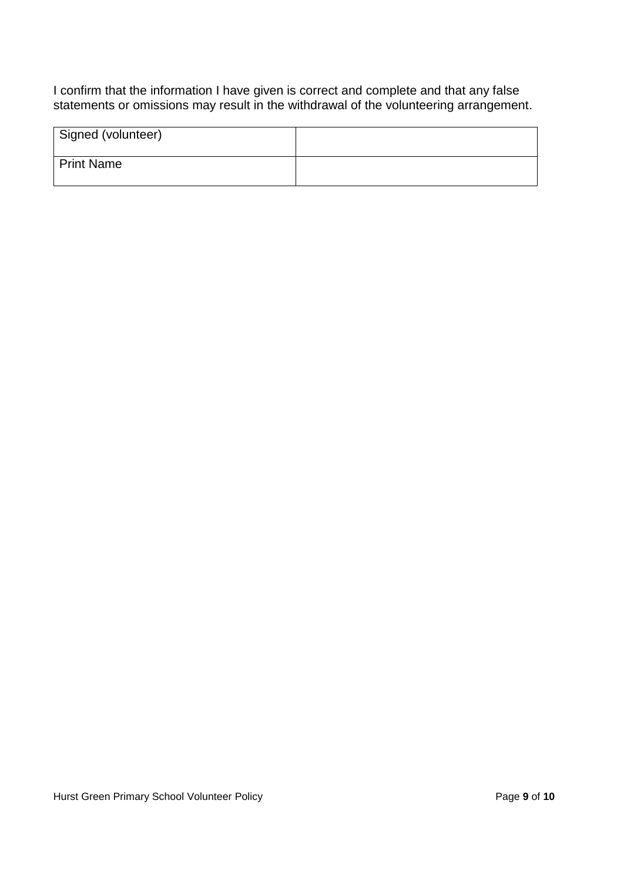I confirm that the information I have given is correct and complete and that any false statements or omissions may result in the withdrawal of the volunteering arrangement.

| Signed (volunteer) |  |
|--------------------|--|
| Print Name         |  |